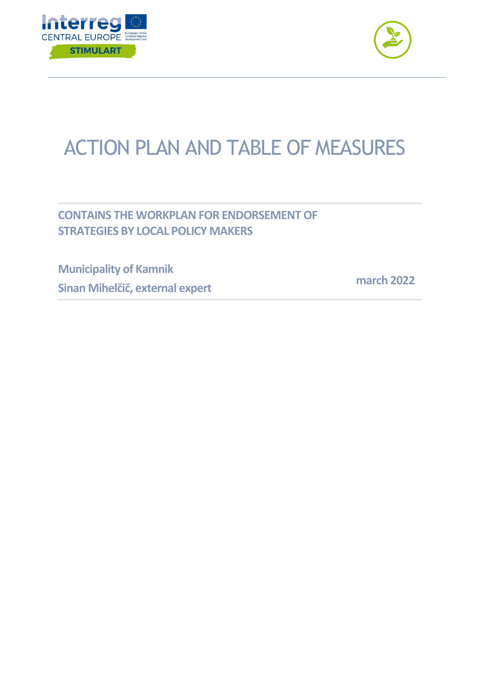



## ACTION PLAN AND TABLE OF MEASURES

**CONTAINS THE WORKPLAN FOR ENDORSEMENT OF STRATEGIES BY LOCAL POLICY MAKERS** 

**Municipality of Kamnik Sinan Mihelčič, external expert**

 **march 2022**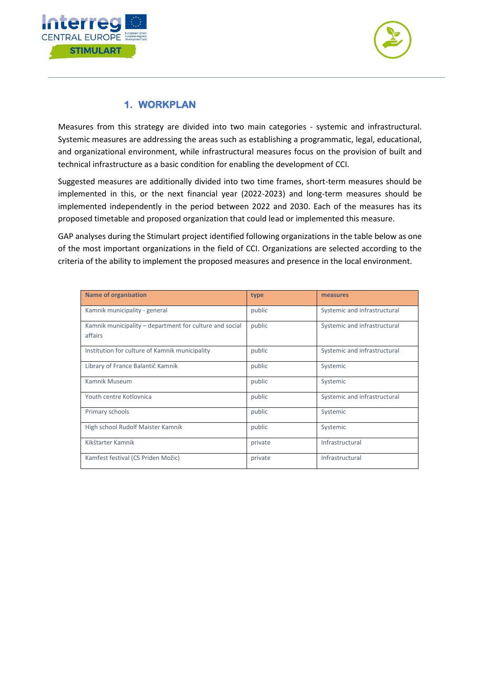



## **1. WORKPLAN**

Measures from this strategy are divided into two main categories - systemic and infrastructural. Systemic measures are addressing the areas such as establishing a programmatic, legal, educational, and organizational environment, while infrastructural measures focus on the provision of built and technical infrastructure as a basic condition for enabling the development of CCI.

Suggested measures are additionally divided into two time frames, short-term measures should be implemented in this, or the next financial year (2022-2023) and long-term measures should be implemented independently in the period between 2022 and 2030. Each of the measures has its proposed timetable and proposed organization that could lead or implemented this measure.

GAP analyses during the Stimulart project identified following organizations in the table below as one of the most important organizations in the field of CCI. Organizations are selected according to the criteria of the ability to implement the proposed measures and presence in the local environment.

| <b>Name of organisation</b>                                        | type    | measures                     |
|--------------------------------------------------------------------|---------|------------------------------|
| Kamnik municipality - general                                      | public  | Systemic and infrastructural |
| Kamnik municipality – department for culture and social<br>affairs | public  | Systemic and infrastructural |
| Institution for culture of Kamnik municipality                     | public  | Systemic and infrastructural |
| Library of France Balantič Kamnik                                  | public  | Systemic                     |
| Kamnik Museum                                                      | public  | Systemic                     |
| Youth centre Kotlovnica                                            | public  | Systemic and infrastructural |
| Primary schools                                                    | public  | Systemic                     |
| High school Rudolf Maister Kamnik                                  | public  | Systemic                     |
| Kikštarter Kamnik                                                  | private | Infrastructural              |
| Kamfest festival (CS Priden Možic)                                 | private | Infrastructural              |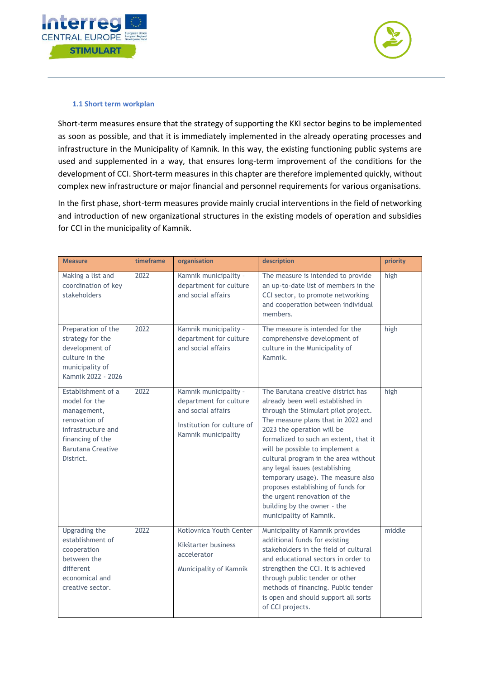



## **1.1 Short term workplan**

Short-term measures ensure that the strategy of supporting the KKI sector begins to be implemented as soon as possible, and that it is immediately implemented in the already operating processes and infrastructure in the Municipality of Kamnik. In this way, the existing functioning public systems are used and supplemented in a way, that ensures long-term improvement of the conditions for the development of CCI. Short-term measures in this chapter are therefore implemented quickly, without complex new infrastructure or major financial and personnel requirements for various organisations.

In the first phase, short-term measures provide mainly crucial interventions in the field of networking and introduction of new organizational structures in the existing models of operation and subsidies for CCI in the municipality of Kamnik.

| <b>Measure</b>                                                                                                                                         | timeframe | organisation                                                                                                               | description                                                                                                                                                                                                                                                                                                                                                                                                                                                                                                    | priority |
|--------------------------------------------------------------------------------------------------------------------------------------------------------|-----------|----------------------------------------------------------------------------------------------------------------------------|----------------------------------------------------------------------------------------------------------------------------------------------------------------------------------------------------------------------------------------------------------------------------------------------------------------------------------------------------------------------------------------------------------------------------------------------------------------------------------------------------------------|----------|
| Making a list and<br>coordination of key<br>stakeholders                                                                                               | 2022      | Kamnik municipality -<br>department for culture<br>and social affairs                                                      | The measure is intended to provide<br>an up-to-date list of members in the<br>CCI sector, to promote networking<br>and cooperation between individual<br>members.                                                                                                                                                                                                                                                                                                                                              | high     |
| Preparation of the<br>strategy for the<br>development of<br>culture in the<br>municipality of<br>Kamnik 2022 - 2026                                    | 2022      | Kamnik municipality -<br>department for culture<br>and social affairs                                                      | The measure is intended for the<br>comprehensive development of<br>culture in the Municipality of<br>Kamnik.                                                                                                                                                                                                                                                                                                                                                                                                   | high     |
| Establishment of a<br>model for the<br>management,<br>renovation of<br>infrastructure and<br>financing of the<br><b>Barutana Creative</b><br>District. | 2022      | Kamnik municipality -<br>department for culture<br>and social affairs<br>Institution for culture of<br>Kamnik municipality | The Barutana creative district has<br>already been well established in<br>through the Stimulart pilot project.<br>The measure plans that in 2022 and<br>2023 the operation will be<br>formalized to such an extent, that it<br>will be possible to implement a<br>cultural program in the area without<br>any legal issues (establishing<br>temporary usage). The measure also<br>proposes establishing of funds for<br>the urgent renovation of the<br>building by the owner - the<br>municipality of Kamnik. | high     |
| <b>Upgrading the</b><br>establishment of<br>cooperation<br>between the<br>different<br>economical and<br>creative sector.                              | 2022      | Kotlovnica Youth Center<br>Kikštarter business<br>accelerator<br>Municipality of Kamnik                                    | Municipality of Kamnik provides<br>additional funds for existing<br>stakeholders in the field of cultural<br>and educational sectors in order to<br>strengthen the CCI. It is achieved<br>through public tender or other<br>methods of financing. Public tender<br>is open and should support all sorts<br>of CCI projects.                                                                                                                                                                                    | middle   |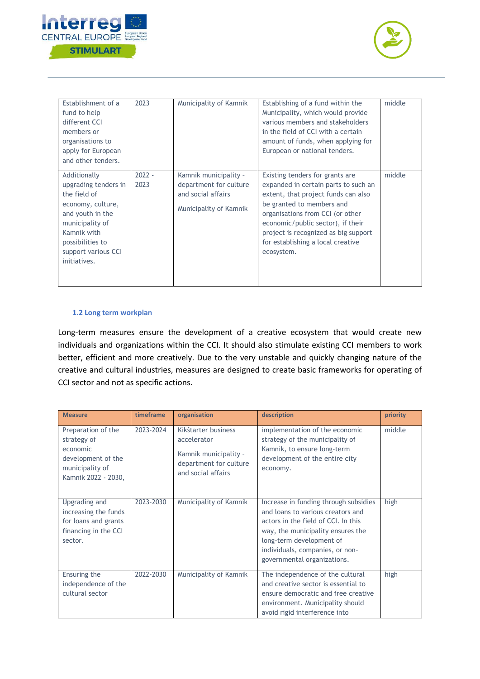



| Establishment of a<br>fund to help<br>different CCI<br>members or<br>organisations to<br>apply for European<br>and other tenders.                                                          | 2023             | Municipality of Kamnik                                                                          | Establishing of a fund within the<br>Municipality, which would provide<br>various members and stakeholders<br>in the field of CCI with a certain<br>amount of funds, when applying for<br>European or national tenders.                                                                                         | middle |
|--------------------------------------------------------------------------------------------------------------------------------------------------------------------------------------------|------------------|-------------------------------------------------------------------------------------------------|-----------------------------------------------------------------------------------------------------------------------------------------------------------------------------------------------------------------------------------------------------------------------------------------------------------------|--------|
| Additionally<br>upgrading tenders in<br>the field of<br>economy, culture,<br>and youth in the<br>municipality of<br>Kamnik with<br>possibilities to<br>support various CCI<br>initiatives. | $2022 -$<br>2023 | Kamnik municipality -<br>department for culture<br>and social affairs<br>Municipality of Kamnik | Existing tenders for grants are<br>expanded in certain parts to such an<br>extent, that project funds can also<br>be granted to members and<br>organisations from CCI (or other<br>economic/public sector), if their<br>project is recognized as big support<br>for establishing a local creative<br>ecosystem. | middle |

## **1.2 Long term workplan**

Long-term measures ensure the development of a creative ecosystem that would create new individuals and organizations within the CCI. It should also stimulate existing CCI members to work better, efficient and more creatively. Due to the very unstable and quickly changing nature of the creative and cultural industries, measures are designed to create basic frameworks for operating of CCI sector and not as specific actions.

| <b>Measure</b>                                                                                                | timeframe | organisation                                                                                                | description                                                                                                                                                                                                                                          | priority |
|---------------------------------------------------------------------------------------------------------------|-----------|-------------------------------------------------------------------------------------------------------------|------------------------------------------------------------------------------------------------------------------------------------------------------------------------------------------------------------------------------------------------------|----------|
| Preparation of the<br>strategy of<br>economic<br>development of the<br>municipality of<br>Kamnik 2022 - 2030, | 2023-2024 | Kikštarter business<br>accelerator<br>Kamnik municipality -<br>department for culture<br>and social affairs | implementation of the economic<br>strategy of the municipality of<br>Kamnik, to ensure long-term<br>development of the entire city<br>economy.                                                                                                       | middle   |
| Upgrading and<br>increasing the funds<br>for loans and grants<br>financing in the CCI<br>sector.              | 2023-2030 | Municipality of Kamnik                                                                                      | Increase in funding through subsidies<br>and loans to various creators and<br>actors in the field of CCI. In this<br>way, the municipality ensures the<br>long-term development of<br>individuals, companies, or non-<br>governmental organizations. | high     |
| Ensuring the<br>independence of the<br>cultural sector                                                        | 2022-2030 | Municipality of Kamnik                                                                                      | The independence of the cultural<br>and creative sector is essential to<br>ensure democratic and free creative<br>environment. Municipality should<br>avoid rigid interference into                                                                  | high     |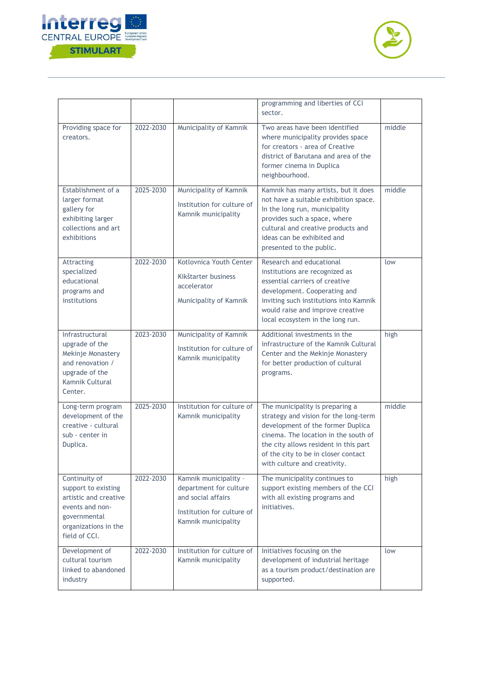



|                                                                                                                                           |           |                                                                                                                            | programming and liberties of CCI<br>sector.                                                                                                                                                                                                                           |        |
|-------------------------------------------------------------------------------------------------------------------------------------------|-----------|----------------------------------------------------------------------------------------------------------------------------|-----------------------------------------------------------------------------------------------------------------------------------------------------------------------------------------------------------------------------------------------------------------------|--------|
| Providing space for<br>creators.                                                                                                          | 2022-2030 | Municipality of Kamnik                                                                                                     | Two areas have been identified<br>where municipality provides space<br>for creators - area of Creative<br>district of Barutana and area of the<br>former cinema in Duplica<br>neighbourhood.                                                                          | middle |
| Establishment of a<br>larger format<br>gallery for<br>exhibiting larger<br>collections and art<br>exhibitions                             | 2025-2030 | Municipality of Kamnik<br>Institution for culture of<br>Kamnik municipality                                                | Kamnik has many artists, but it does<br>not have a suitable exhibition space.<br>In the long run, municipality<br>provides such a space, where<br>cultural and creative products and<br>ideas can be exhibited and<br>presented to the public.                        | middle |
| Attracting<br>specialized<br>educational<br>programs and<br>institutions                                                                  | 2022-2030 | Kotlovnica Youth Center<br>Kikštarter business<br>accelerator<br>Municipality of Kamnik                                    | Research and educational<br>institutions are recognized as<br>essential carriers of creative<br>development. Cooperating and<br>inviting such institutions into Kamnik<br>would raise and improve creative<br>local ecosystem in the long run.                        | low    |
| Infrastructural<br>upgrade of the<br>Mekinje Monastery<br>and renovation /<br>upgrade of the<br>Kamnik Cultural<br>Center.                | 2023-2030 | Municipality of Kamnik<br>Institution for culture of<br>Kamnik municipality                                                | Additional investments in the<br>infrastructure of the Kamnik Cultural<br>Center and the Mekinje Monastery<br>for better production of cultural<br>programs.                                                                                                          | high   |
| Long-term program<br>development of the<br>creative - cultural<br>sub - center in<br>Duplica.                                             | 2025-2030 | Institution for culture of<br>Kamnik municipality                                                                          | The municipality is preparing a<br>strategy and vision for the long-term<br>development of the former Duplica<br>cinema. The location in the south of<br>the city allows resident in this part<br>of the city to be in closer contact<br>with culture and creativity. | middle |
| Continuity of<br>support to existing<br>artistic and creative<br>events and non-<br>governmental<br>organizations in the<br>field of CCI. | 2022-2030 | Kamnik municipality -<br>department for culture<br>and social affairs<br>Institution for culture of<br>Kamnik municipality | The municipality continues to<br>support existing members of the CCI<br>with all existing programs and<br>initiatives.                                                                                                                                                | high   |
| Development of<br>cultural tourism<br>linked to abandoned<br>industry                                                                     | 2022-2030 | Institution for culture of<br>Kamnik municipality                                                                          | Initiatives focusing on the<br>development of industrial heritage<br>as a tourism product/destination are<br>supported.                                                                                                                                               | low    |